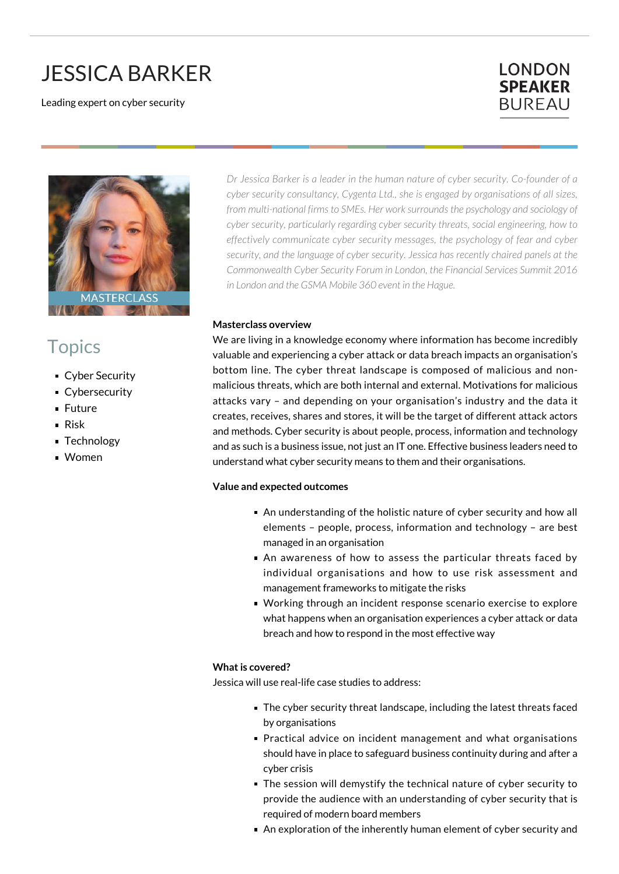# JESSICA BARKER

Leading expert on cyber security

### **LONDON SPEAKER BUREAU**



## **Topics**

- **Cyber Security**
- **Cybersecurity**
- **Future**
- Risk
- **Technology**
- Women

*Dr Jessica Barker is a leader in the human nature of cyber security. Co-founder of a cyber security consultancy, Cygenta Ltd., she is engaged by organisations of all sizes, from multi-national firms to SMEs. Her work surrounds the psychology and sociology of cyber security, particularly regarding cyber security threats, social engineering, how to effectively communicate cyber security messages, the psychology of fear and cyber security, and the language of cyber security. Jessica has recently chaired panels at the Commonwealth Cyber Security Forum in London, the Financial Services Summit 2016 in London and the GSMA Mobile 360 event in the Hague.*

#### **Masterclass overview**

We are living in a knowledge economy where information has become incredibly valuable and experiencing a cyber attack or data breach impacts an organisation's bottom line. The cyber threat landscape is composed of malicious and nonmalicious threats, which are both internal and external. Motivations for malicious attacks vary – and depending on your organisation's industry and the data it creates, receives, shares and stores, it will be the target of different attack actors and methods. Cyber security is about people, process, information and technology and as such is a business issue, not just an IT one. Effective business leaders need to understand what cyber security means to them and their organisations.

#### **Value and expected outcomes**

- An understanding of the holistic nature of cyber security and how all elements – people, process, information and technology – are best managed in an organisation
- An awareness of how to assess the particular threats faced by individual organisations and how to use risk assessment and management frameworks to mitigate the risks
- Working through an incident response scenario exercise to explore what happens when an organisation experiences a cyber attack or data breach and how to respond in the most effective way

#### **What is covered?**

Jessica will use real-life case studies to address:

- The cyber security threat landscape, including the latest threats faced by organisations
- **Practical advice on incident management and what organisations** should have in place to safeguard business continuity during and after a cyber crisis
- The session will demystify the technical nature of cyber security to provide the audience with an understanding of cyber security that is required of modern board members
- An exploration of the inherently human element of cyber security and